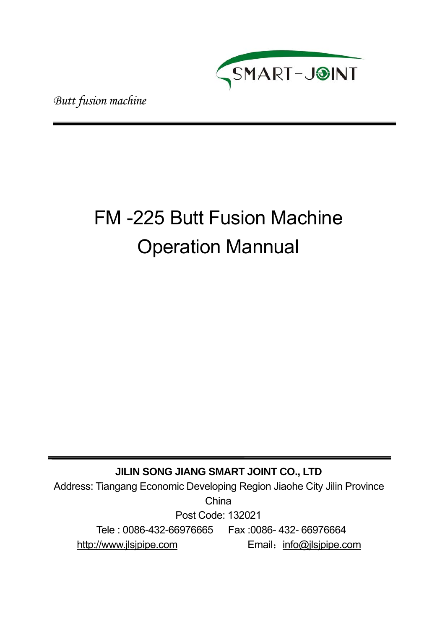

*Butt fusion machine*

# FM -225 Butt Fusion Machine Operation Mannual

# **JILIN SONG JIANG SMART JOINT CO., LTD**

Address: Tiangang Economic Developing Region Jiaohe City Jilin Province China Post Code: 132021 Tele : 0086-432-66976665 Fax :0086- 432- 66976664

http://www.jlsjpipe.com Email: info@jlsjpipe.com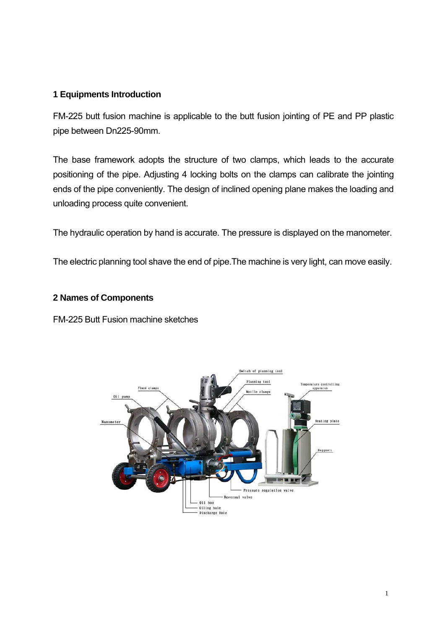#### **1 Equipments Introduction**

FM-225 butt fusion machine is applicable to the butt fusion jointing of PE and PP plastic pipe between Dn225-90mm.

The base framework adopts the structure of two clamps, which leads to the accurate positioning of the pipe. Adjusting 4 locking bolts on the clamps can calibrate the jointing ends of the pipe conveniently. The design of inclined opening plane makes the loading and unloading process quite convenient.

The hydraulic operation by hand is accurate. The pressure is displayed on the manometer.

The electric planning tool shave the end of pipe.The machine is very light, can move easily.

#### **2 Names of Components**

FM-225 Butt Fusion machine sketches

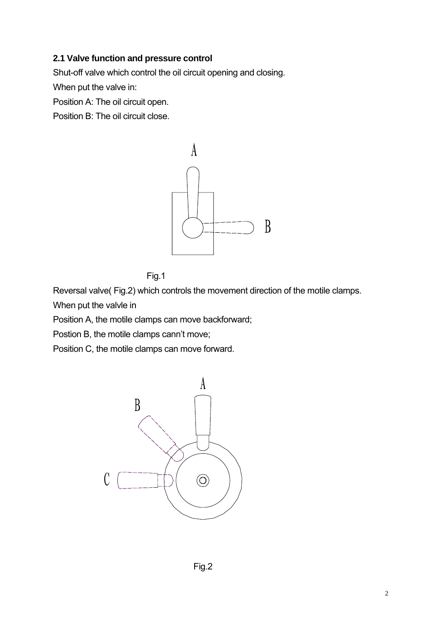# **2.1 Valve function and pressure control**

Shut-off valve which control the oil circuit opening and closing.

When put the valve in:

Position A: The oil circuit open.

Position B: The oil circuit close.





Reversal valve( Fig.2) which controls the movement direction of the motile clamps.

When put the valvle in

Position A, the motile clamps can move backforward;

Postion B, the motile clamps cann't move;

Position C, the motile clamps can move forward.

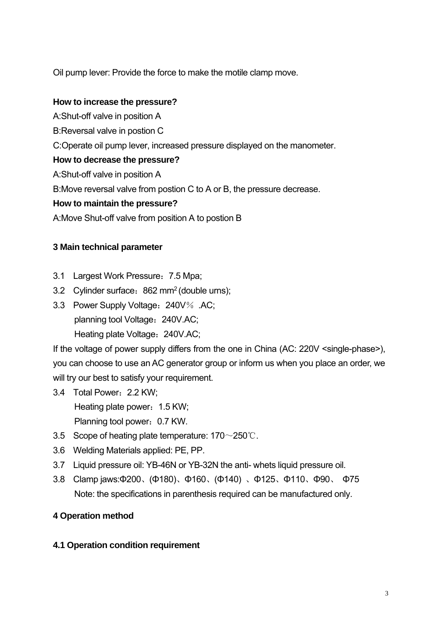Oil pump lever: Provide the force to make the motile clamp move.

# **How to increase the pressure?**

- A:Shut-off valve in position A
- B:Reversal valve in postion C
- C:Operate oil pump lever, increased pressure displayed on the manometer.

# **How to decrease the pressure?**

A:Shut-off valve in position A

B:Move reversal valve from postion C to A or B, the pressure decrease.

# **How to maintain the pressure?**

A:Move Shut-off valve from position A to postion B

# **3 Main technical parameter**

- 3.1 Largest Work Pressure: 7.5 Mpa:
- 3.2 Cylinder surface: 862 mm<sup>2</sup> (double urns):
- 3.3 Power Supply Voltage:240V% .AC; planning tool Voltage: 240V.AC; Heating plate Voltage: 240V.AC;

If the voltage of power supply differs from the one in China (AC: 220V < single-phase >). you can choose to use an AC generator group or inform us when you place an order, we will try our best to satisfy your requirement.

- 3.4 Total Power: 2.2 KW; Heating plate power: 1.5 KW; Planning tool power: 0.7 KW.
- 3.5 Scope of heating plate temperature: 170~250℃.
- 3.6 Welding Materials applied: PE, PP.
- 3.7 Liquid pressure oil: YB-46N or YB-32N the anti- whets liquid pressure oil.
- 3.8 Clamp jaws:Φ200、(Φ180)、Φ160、(Φ140) 、Φ125、Φ110、Φ90、 Φ75 Note: the specifications in parenthesis required can be manufactured only.

# **4 Operation method**

# **4.1 Operation condition requirement**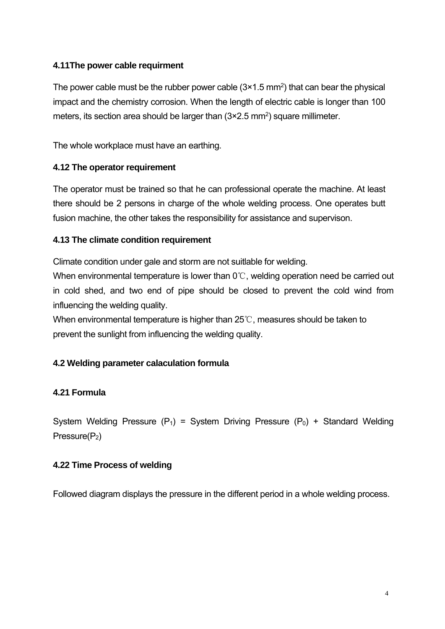#### **4.11The power cable requirment**

The power cable must be the rubber power cable  $(3 \times 1.5 \text{ mm}^2)$  that can bear the physical impact and the chemistry corrosion. When the length of electric cable is longer than 100 meters, its section area should be larger than  $(3\times2.5 \text{ mm}^2)$  square millimeter.

The whole workplace must have an earthing.

#### **4.12 The operator requirement**

The operator must be trained so that he can professional operate the machine. At least there should be 2 persons in charge of the whole welding process. One operates butt fusion machine, the other takes the responsibility for assistance and supervison.

#### **4.13 The climate condition requirement**

Climate condition under gale and storm are not suitlable for welding.

When environmental temperature is lower than 0℃, welding operation need be carried out in cold shed, and two end of pipe should be closed to prevent the cold wind from influencing the welding quality.

When environmental temperature is higher than 25℃, measures should be taken to prevent the sunlight from influencing the welding quality.

# **4.2 Welding parameter calaculation formula**

# **4.21 Formula**

System Welding Pressure  $(P_1)$  = System Driving Pressure  $(P_0)$  + Standard Welding Pressure(P<sub>2</sub>)

#### **4.22 Time Process of welding**

Followed diagram displays the pressure in the different period in a whole welding process.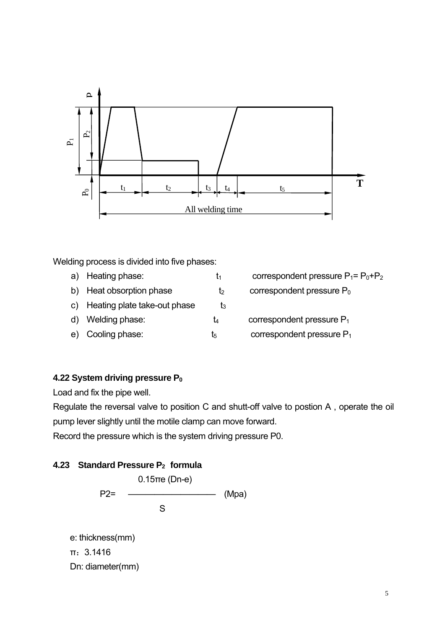

Welding process is divided into five phases:

- a) Heating phase:  $t_1$  correspondent pressure  $P_1 = P_0 + P_2$
- b) Heat obsorption phase  $t_2$  correspondent pressure  $P_0$
- c) Heating plate take-out phase  $t_3$
- d) Welding phase:  $t_4$  correspondent pressure  $P_1$
- e) Cooling phase:  $t_5$  correspondent pressure  $P_1$

#### **4.22 System driving pressure P0**

Load and fix the pipe well.

Regulate the reversal valve to position C and shutt-off valve to postion A , operate the oil pump lever slightly until the motile clamp can move forward.

Record the pressure which is the system driving pressure P0.

#### **4.23 Standard Pressure P2 formula**

```
0.15πe (Dn-e)
     P2= —————————— (Mpa)
                 S
e: thickness(mm)
π:3.1416
```

```
Dn: diameter(mm)
```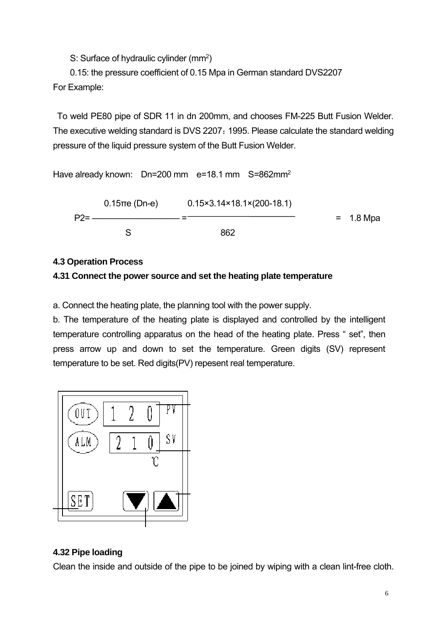S: Surface of hydraulic cylinder (mm2)

0.15: the pressure coefficient of 0.15 Mpa in German standard DVS2207 For Example:

To weld PE80 pipe of SDR 11 in dn 200mm, and chooses FM-225 Butt Fusion Welder. The executive welding standard is DVS 2207:1995. Please calculate the standard welding pressure of the liquid pressure system of the Butt Fusion Welder.

Have already known: Dn=200 mm e=18.1 mm S=862mm<sup>2</sup> 0.15πe (Dn-e) 0.15×3.14×18.1×(200-18.1) P2= —————————— = = 1.8 Mpa S 862

#### **4.3 Operation Process**

# **4.31 Connect the power source and set the heating plate temperature**

a. Connect the heating plate, the planning tool with the power supply.

b. The temperature of the heating plate is displayed and controlled by the intelligent temperature controlling apparatus on the head of the heating plate. Press " set", then press arrow up and down to set the temperature. Green digits (SV) represent temperature to be set. Red digits(PV) repesent real temperature.



# **4.32 Pipe loading**

Clean the inside and outside of the pipe to be joined by wiping with a clean lint-free cloth.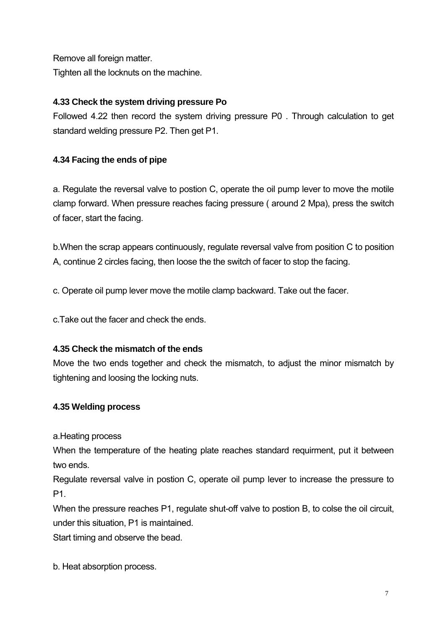Remove all foreign matter. Tighten all the locknuts on the machine.

# **4.33 Check the system driving pressure Po**

Followed 4.22 then record the system driving pressure P0 . Through calculation to get standard welding pressure P2. Then get P1.

# **4.34 Facing the ends of pipe**

a. Regulate the reversal valve to postion C, operate the oil pump lever to move the motile clamp forward. When pressure reaches facing pressure ( around 2 Mpa), press the switch of facer, start the facing.

b.When the scrap appears continuously, regulate reversal valve from position C to position A, continue 2 circles facing, then loose the the switch of facer to stop the facing.

c. Operate oil pump lever move the motile clamp backward. Take out the facer.

c.Take out the facer and check the ends.

# **4.35 Check the mismatch of the ends**

Move the two ends together and check the mismatch, to adjust the minor mismatch by tightening and loosing the locking nuts.

# **4.35 Welding process**

a.Heating process

When the temperature of the heating plate reaches standard requirment, put it between two ends.

Regulate reversal valve in postion C, operate oil pump lever to increase the pressure to P1.

When the pressure reaches P1, regulate shut-off valve to postion B, to colse the oil circuit, under this situation, P1 is maintained.

Start timing and observe the bead.

b. Heat absorption process.